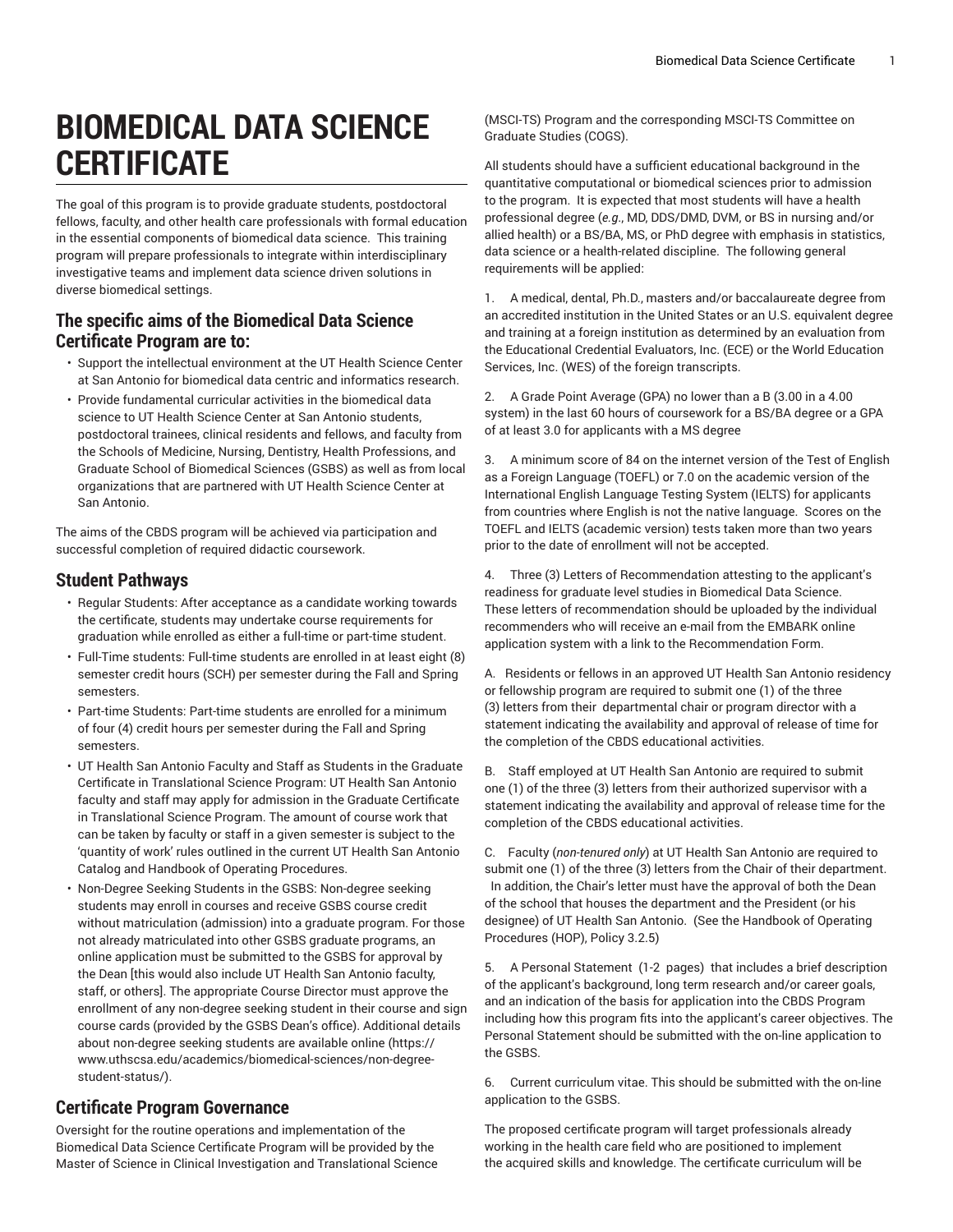# **BIOMEDICAL DATA SCIENCE CERTIFICATE**

The goal of this program is to provide graduate students, postdoctoral fellows, faculty, and other health care professionals with formal education in the essential components of biomedical data science. This training program will prepare professionals to integrate within interdisciplinary investigative teams and implement data science driven solutions in diverse biomedical settings.

## **The specific aims of the Biomedical Data Science Certificate Program are to:**

- Support the intellectual environment at the UT Health Science Center at San Antonio for biomedical data centric and informatics research.
- Provide fundamental curricular activities in the biomedical data science to UT Health Science Center at San Antonio students, postdoctoral trainees, clinical residents and fellows, and faculty from the Schools of Medicine, Nursing, Dentistry, Health Professions, and Graduate School of Biomedical Sciences (GSBS) as well as from local organizations that are partnered with UT Health Science Center at San Antonio.

The aims of the CBDS program will be achieved via participation and successful completion of required didactic coursework.

## **Student Pathways**

- Regular Students: After acceptance as a candidate working towards the certificate, students may undertake course requirements for graduation while enrolled as either a full-time or part-time student.
- Full-Time students: Full-time students are enrolled in at least eight (8) semester credit hours (SCH) per semester during the Fall and Spring semesters.
- Part-time Students: Part-time students are enrolled for a minimum of four (4) credit hours per semester during the Fall and Spring semesters.
- UT Health San Antonio Faculty and Staff as Students in the Graduate Certificate in Translational Science Program: UT Health San Antonio faculty and staff may apply for admission in the Graduate Certificate in Translational Science Program. The amount of course work that can be taken by faculty or staff in a given semester is subject to the 'quantity of work' rules outlined in the current UT Health San Antonio Catalog and Handbook of Operating Procedures.
- Non-Degree Seeking Students in the GSBS: Non-degree seeking students may enroll in courses and receive GSBS course credit without matriculation (admission) into a graduate program. For those not already matriculated into other GSBS graduate programs, an online application must be submitted to the GSBS for approval by the Dean [this would also include UT Health San Antonio faculty, staff, or others]. The appropriate Course Director must approve the enrollment of any non-degree seeking student in their course and sign course cards (provided by the GSBS Dean's office). Additional details about non-degree seeking students are [available](https://www.uthscsa.edu/academics/biomedical-sciences/non-degree-student-status/) online [\(https://](https://www.uthscsa.edu/academics/biomedical-sciences/non-degree-student-status/) [www.uthscsa.edu/academics/biomedical-sciences/non-degree](https://www.uthscsa.edu/academics/biomedical-sciences/non-degree-student-status/)[student-status/\)](https://www.uthscsa.edu/academics/biomedical-sciences/non-degree-student-status/).

## **Certificate Program Governance**

Oversight for the routine operations and implementation of the Biomedical Data Science Certificate Program will be provided by the Master of Science in Clinical Investigation and Translational Science (MSCI-TS) Program and the corresponding MSCI-TS Committee on Graduate Studies (COGS).

All students should have a sufficient educational background in the quantitative computational or biomedical sciences prior to admission to the program. It is expected that most students will have a health professional degree (*e.g*., MD, DDS/DMD, DVM, or BS in nursing and/or allied health) or a BS/BA, MS, or PhD degree with emphasis in statistics, data science or a health-related discipline. The following general requirements will be applied:

1. A medical, dental, Ph.D., masters and/or baccalaureate degree from an accredited institution in the United States or an U.S. equivalent degree and training at a foreign institution as determined by an evaluation from the Educational Credential Evaluators, Inc. (ECE) or the World Education Services, Inc. (WES) of the foreign transcripts.

2. A Grade Point Average (GPA) no lower than a B (3.00 in a 4.00 system) in the last 60 hours of coursework for a BS/BA degree or a GPA of at least 3.0 for applicants with a MS degree

3. A minimum score of 84 on the internet version of the Test of English as a Foreign Language (TOEFL) or 7.0 on the academic version of the International English Language Testing System (IELTS) for applicants from countries where English is not the native language. Scores on the TOEFL and IELTS (academic version) tests taken more than two years prior to the date of enrollment will not be accepted.

4. Three (3) Letters of Recommendation attesting to the applicant's readiness for graduate level studies in Biomedical Data Science. These letters of recommendation should be uploaded by the individual recommenders who will receive an e-mail from the EMBARK online application system with a link to the Recommendation Form.

A. Residents or fellows in an approved UT Health San Antonio residency or fellowship program are required to submit one (1) of the three (3) letters from their departmental chair or program director with a statement indicating the availability and approval of release of time for the completion of the CBDS educational activities.

B. Staff employed at UT Health San Antonio are required to submit one (1) of the three (3) letters from their authorized supervisor with a statement indicating the availability and approval of release time for the completion of the CBDS educational activities.

C. Faculty (*non-tenured only*) at UT Health San Antonio are required to submit one (1) of the three (3) letters from the Chair of their department. In addition, the Chair's letter must have the approval of both the Dean of the school that houses the department and the President (or his designee) of UT Health San Antonio. (See the Handbook of Operating Procedures (HOP), Policy 3.2.5)

5. A Personal Statement (1-2 pages) that includes a brief description of the applicant's background, long term research and/or career goals, and an indication of the basis for application into the CBDS Program including how this program fits into the applicant's career objectives. The Personal Statement should be submitted with the on-line application to the GSBS.

6. Current curriculum vitae. This should be submitted with the on-line application to the GSBS.

The proposed certificate program will target professionals already working in the health care field who are positioned to implement the acquired skills and knowledge. The certificate curriculum will be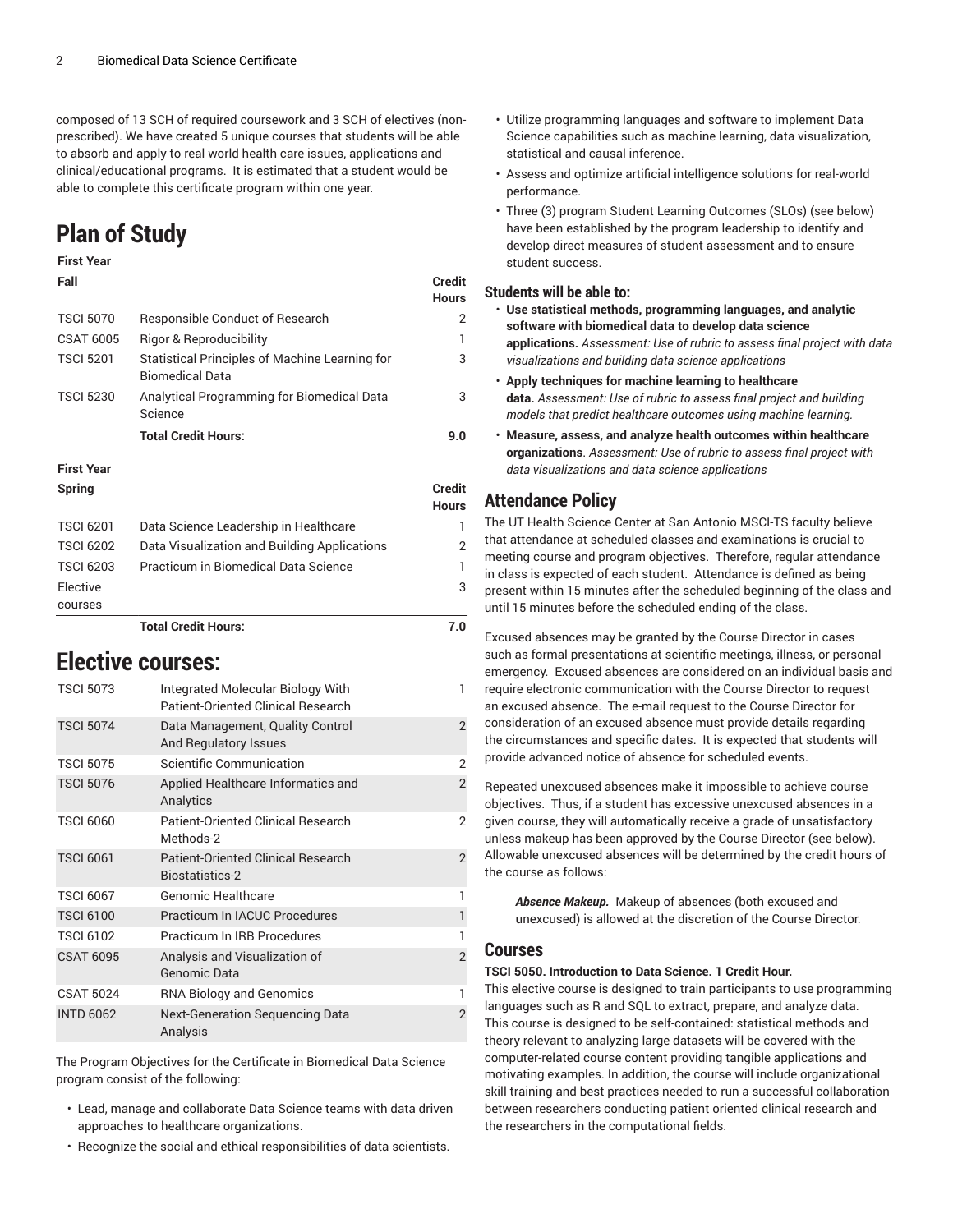composed of 13 SCH of required coursework and 3 SCH of electives (nonprescribed). We have created 5 unique courses that students will be able to absorb and apply to real world health care issues, applications and clinical/educational programs. It is estimated that a student would be able to complete this certificate program within one year.

## **Plan of Study**

### **First Year**

| Fall              |                                                                          | <b>Credit</b><br><b>Hours</b> |
|-------------------|--------------------------------------------------------------------------|-------------------------------|
| <b>TSCI 5070</b>  | Responsible Conduct of Research                                          | 2                             |
| <b>CSAT 6005</b>  | Rigor & Reproducibility                                                  | 1                             |
| <b>TSCI 5201</b>  | Statistical Principles of Machine Learning for<br><b>Biomedical Data</b> | 3                             |
| <b>TSCI 5230</b>  | Analytical Programming for Biomedical Data<br>Science                    | 3                             |
|                   | <b>Total Credit Hours:</b>                                               | 9.0                           |
| <b>First Year</b> |                                                                          |                               |

## **Spring Credit**

|                  |                                              | <b>Hours</b>   |
|------------------|----------------------------------------------|----------------|
| <b>TSCI 6201</b> | Data Science Leadership in Healthcare        | ı              |
| <b>TSCI 6202</b> | Data Visualization and Building Applications | $\overline{2}$ |
| <b>TSCI 6203</b> | Practicum in Biomedical Data Science         | 1              |
| Elective         |                                              | 3              |
| courses          |                                              |                |
|                  | <b>Total Credit Hours:</b>                   | 7.0            |

## **Elective courses:**

| <b>TSCI 5073</b> | Integrated Molecular Biology With<br>Patient-Oriented Clinical Research | 1              |
|------------------|-------------------------------------------------------------------------|----------------|
| <b>TSCI 5074</b> | Data Management, Quality Control<br>And Regulatory Issues               | $\mathfrak{D}$ |
| <b>TSCI 5075</b> | Scientific Communication                                                | 2              |
| <b>TSCI 5076</b> | Applied Healthcare Informatics and<br>Analytics                         | $\overline{2}$ |
| <b>TSCI 6060</b> | Patient-Oriented Clinical Research<br>Methods-2                         | 2              |
| <b>TSCI 6061</b> | <b>Patient-Oriented Clinical Research</b><br><b>Biostatistics-2</b>     | $\mathcal{P}$  |
| <b>TSCI 6067</b> | Genomic Healthcare                                                      |                |
| <b>TSCI 6100</b> | <b>Practicum In IACUC Procedures</b>                                    |                |
| <b>TSCI 6102</b> | <b>Practicum In IRB Procedures</b>                                      |                |
| <b>CSAT 6095</b> | Analysis and Visualization of<br>Genomic Data                           | $\mathfrak{p}$ |
| <b>CSAT 5024</b> | <b>RNA Biology and Genomics</b>                                         |                |
| <b>INTD 6062</b> | <b>Next-Generation Sequencing Data</b><br>Analysis                      | $\mathfrak{p}$ |

The Program Objectives for the Certificate in Biomedical Data Science program consist of the following:

- Lead, manage and collaborate Data Science teams with data driven approaches to healthcare organizations.
- Recognize the social and ethical responsibilities of data scientists.
- Utilize programming languages and software to implement Data Science capabilities such as machine learning, data visualization, statistical and causal inference.
- Assess and optimize artificial intelligence solutions for real-world performance.
- Three (3) program Student Learning Outcomes (SLOs) (see below) have been established by the program leadership to identify and develop direct measures of student assessment and to ensure student success.

#### **Students will be able to:**

- **Use statistical methods, programming languages, and analytic software with biomedical data to develop data science applications.** *Assessment: Use of rubric to assess final project with data visualizations and building data science applications*
- **Apply techniques for machine learning to healthcare data.** *Assessment: Use of rubric to assess final project and building models that predict healthcare outcomes using machine learning.*
- **Measure, assess, and analyze health outcomes within healthcare organizations**. *Assessment: Use of rubric to assess final project with data visualizations and data science applications*

## **Attendance Policy**

The UT Health Science Center at San Antonio MSCI-TS faculty believe that attendance at scheduled classes and examinations is crucial to meeting course and program objectives. Therefore, regular attendance in class is expected of each student. Attendance is defined as being present within 15 minutes after the scheduled beginning of the class and until 15 minutes before the scheduled ending of the class.

Excused absences may be granted by the Course Director in cases such as formal presentations at scientific meetings, illness, or personal emergency. Excused absences are considered on an individual basis and require electronic communication with the Course Director to request an excused absence. The e-mail request to the Course Director for consideration of an excused absence must provide details regarding the circumstances and specific dates. It is expected that students will provide advanced notice of absence for scheduled events.

Repeated unexcused absences make it impossible to achieve course objectives. Thus, if a student has excessive unexcused absences in a given course, they will automatically receive a grade of unsatisfactory unless makeup has been approved by the Course Director (see below). Allowable unexcused absences will be determined by the credit hours of the course as follows:

*Absence Makeup.* Makeup of absences (both excused and unexcused) is allowed at the discretion of the Course Director.

#### **Courses**

#### **TSCI 5050. Introduction to Data Science. 1 Credit Hour.**

This elective course is designed to train participants to use programming languages such as R and SQL to extract, prepare, and analyze data. This course is designed to be self-contained: statistical methods and theory relevant to analyzing large datasets will be covered with the computer-related course content providing tangible applications and motivating examples. In addition, the course will include organizational skill training and best practices needed to run a successful collaboration between researchers conducting patient oriented clinical research and the researchers in the computational fields.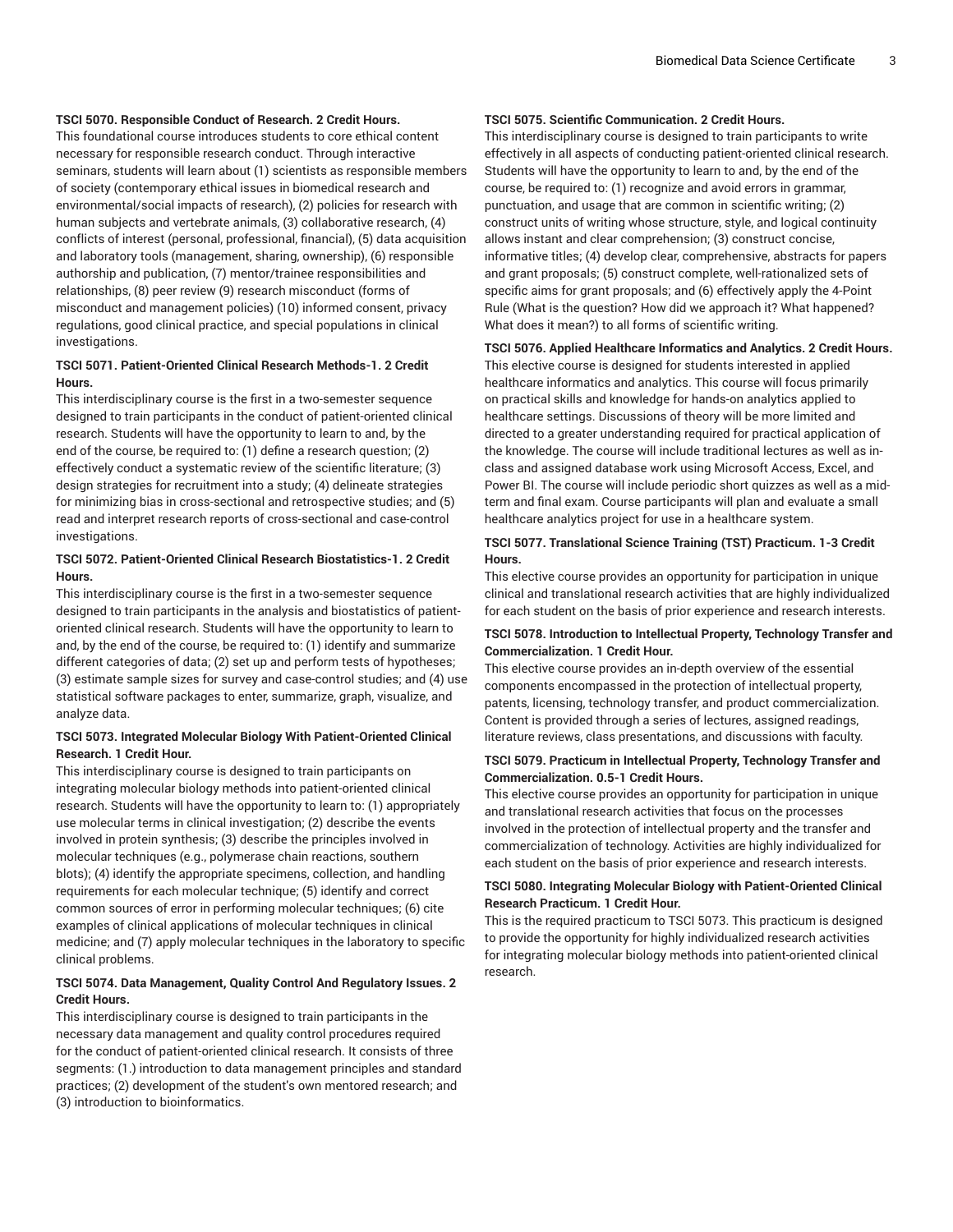#### **TSCI 5070. Responsible Conduct of Research. 2 Credit Hours.**

This foundational course introduces students to core ethical content necessary for responsible research conduct. Through interactive seminars, students will learn about (1) scientists as responsible members of society (contemporary ethical issues in biomedical research and environmental/social impacts of research), (2) policies for research with human subjects and vertebrate animals, (3) collaborative research, (4) conflicts of interest (personal, professional, financial), (5) data acquisition and laboratory tools (management, sharing, ownership), (6) responsible authorship and publication, (7) mentor/trainee responsibilities and relationships, (8) peer review (9) research misconduct (forms of misconduct and management policies) (10) informed consent, privacy regulations, good clinical practice, and special populations in clinical investigations.

#### **TSCI 5071. Patient-Oriented Clinical Research Methods-1. 2 Credit Hours.**

This interdisciplinary course is the first in a two-semester sequence designed to train participants in the conduct of patient-oriented clinical research. Students will have the opportunity to learn to and, by the end of the course, be required to: (1) define a research question; (2) effectively conduct a systematic review of the scientific literature; (3) design strategies for recruitment into a study; (4) delineate strategies for minimizing bias in cross-sectional and retrospective studies; and (5) read and interpret research reports of cross-sectional and case-control investigations.

#### **TSCI 5072. Patient-Oriented Clinical Research Biostatistics-1. 2 Credit Hours.**

This interdisciplinary course is the first in a two-semester sequence designed to train participants in the analysis and biostatistics of patientoriented clinical research. Students will have the opportunity to learn to and, by the end of the course, be required to: (1) identify and summarize different categories of data; (2) set up and perform tests of hypotheses; (3) estimate sample sizes for survey and case-control studies; and (4) use statistical software packages to enter, summarize, graph, visualize, and analyze data.

#### **TSCI 5073. Integrated Molecular Biology With Patient-Oriented Clinical Research. 1 Credit Hour.**

This interdisciplinary course is designed to train participants on integrating molecular biology methods into patient-oriented clinical research. Students will have the opportunity to learn to: (1) appropriately use molecular terms in clinical investigation; (2) describe the events involved in protein synthesis; (3) describe the principles involved in molecular techniques (e.g., polymerase chain reactions, southern blots); (4) identify the appropriate specimens, collection, and handling requirements for each molecular technique; (5) identify and correct common sources of error in performing molecular techniques; (6) cite examples of clinical applications of molecular techniques in clinical medicine; and (7) apply molecular techniques in the laboratory to specific clinical problems.

#### **TSCI 5074. Data Management, Quality Control And Regulatory Issues. 2 Credit Hours.**

This interdisciplinary course is designed to train participants in the necessary data management and quality control procedures required for the conduct of patient-oriented clinical research. It consists of three segments: (1.) introduction to data management principles and standard practices; (2) development of the student's own mentored research; and (3) introduction to bioinformatics.

#### **TSCI 5075. Scientific Communication. 2 Credit Hours.**

This interdisciplinary course is designed to train participants to write effectively in all aspects of conducting patient-oriented clinical research. Students will have the opportunity to learn to and, by the end of the course, be required to: (1) recognize and avoid errors in grammar, punctuation, and usage that are common in scientific writing; (2) construct units of writing whose structure, style, and logical continuity allows instant and clear comprehension; (3) construct concise, informative titles; (4) develop clear, comprehensive, abstracts for papers and grant proposals; (5) construct complete, well-rationalized sets of specific aims for grant proposals; and (6) effectively apply the 4-Point Rule (What is the question? How did we approach it? What happened? What does it mean?) to all forms of scientific writing.

#### **TSCI 5076. Applied Healthcare Informatics and Analytics. 2 Credit Hours.**

This elective course is designed for students interested in applied healthcare informatics and analytics. This course will focus primarily on practical skills and knowledge for hands-on analytics applied to healthcare settings. Discussions of theory will be more limited and directed to a greater understanding required for practical application of the knowledge. The course will include traditional lectures as well as inclass and assigned database work using Microsoft Access, Excel, and Power BI. The course will include periodic short quizzes as well as a midterm and final exam. Course participants will plan and evaluate a small healthcare analytics project for use in a healthcare system.

#### **TSCI 5077. Translational Science Training (TST) Practicum. 1-3 Credit Hours.**

This elective course provides an opportunity for participation in unique clinical and translational research activities that are highly individualized for each student on the basis of prior experience and research interests.

#### **TSCI 5078. Introduction to Intellectual Property, Technology Transfer and Commercialization. 1 Credit Hour.**

This elective course provides an in-depth overview of the essential components encompassed in the protection of intellectual property, patents, licensing, technology transfer, and product commercialization. Content is provided through a series of lectures, assigned readings, literature reviews, class presentations, and discussions with faculty.

#### **TSCI 5079. Practicum in Intellectual Property, Technology Transfer and Commercialization. 0.5-1 Credit Hours.**

This elective course provides an opportunity for participation in unique and translational research activities that focus on the processes involved in the protection of intellectual property and the transfer and commercialization of technology. Activities are highly individualized for each student on the basis of prior experience and research interests.

#### **TSCI 5080. Integrating Molecular Biology with Patient-Oriented Clinical Research Practicum. 1 Credit Hour.**

This is the required practicum to TSCI 5073. This practicum is designed to provide the opportunity for highly individualized research activities for integrating molecular biology methods into patient-oriented clinical research.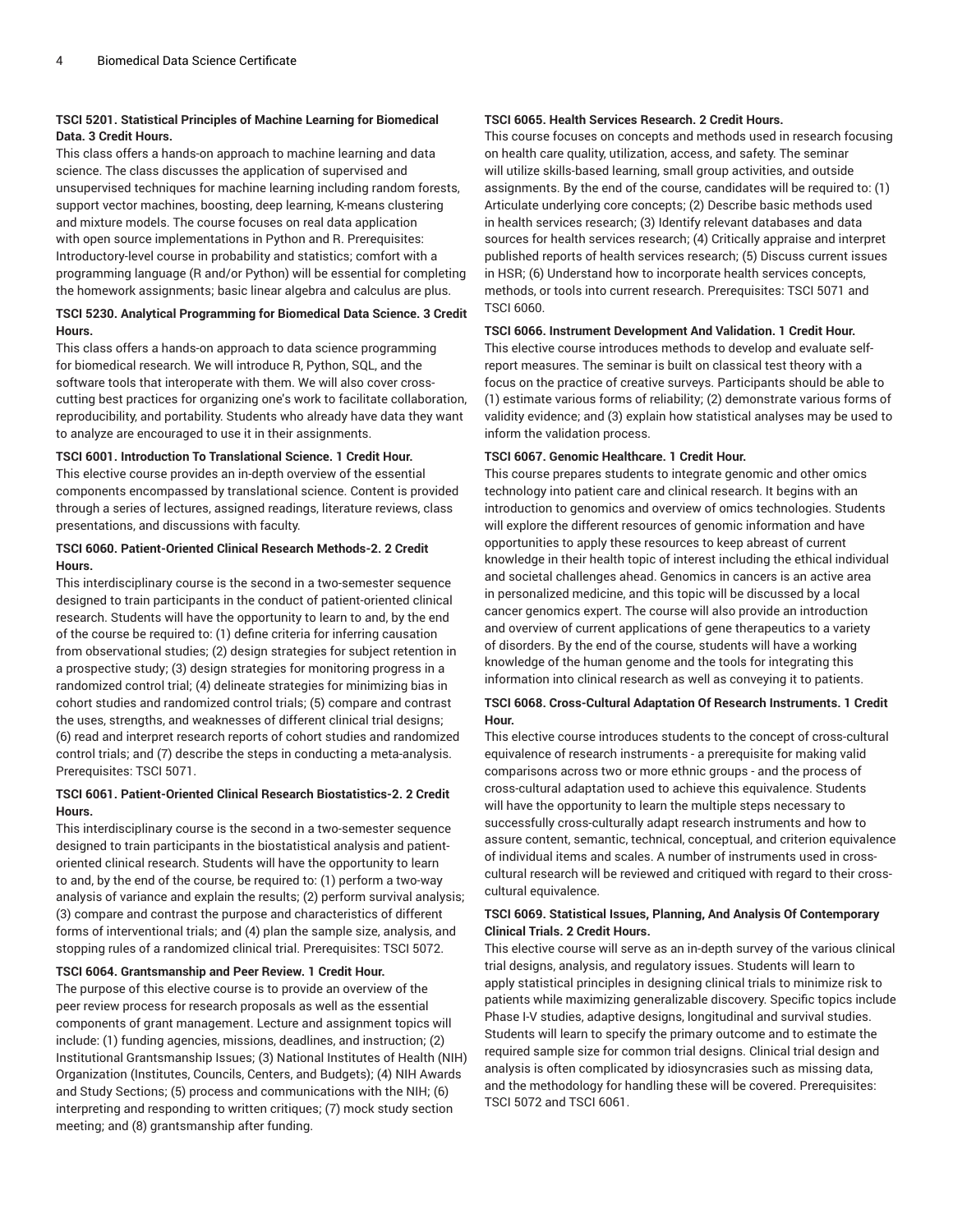#### **TSCI 5201. Statistical Principles of Machine Learning for Biomedical Data. 3 Credit Hours.**

This class offers a hands-on approach to machine learning and data science. The class discusses the application of supervised and unsupervised techniques for machine learning including random forests, support vector machines, boosting, deep learning, K-means clustering and mixture models. The course focuses on real data application with open source implementations in Python and R. Prerequisites: Introductory-level course in probability and statistics; comfort with a programming language (R and/or Python) will be essential for completing the homework assignments; basic linear algebra and calculus are plus.

#### **TSCI 5230. Analytical Programming for Biomedical Data Science. 3 Credit Hours.**

This class offers a hands-on approach to data science programming for biomedical research. We will introduce R, Python, SQL, and the software tools that interoperate with them. We will also cover crosscutting best practices for organizing one's work to facilitate collaboration, reproducibility, and portability. Students who already have data they want to analyze are encouraged to use it in their assignments.

#### **TSCI 6001. Introduction To Translational Science. 1 Credit Hour.**

This elective course provides an in-depth overview of the essential components encompassed by translational science. Content is provided through a series of lectures, assigned readings, literature reviews, class presentations, and discussions with faculty.

#### **TSCI 6060. Patient-Oriented Clinical Research Methods-2. 2 Credit Hours.**

This interdisciplinary course is the second in a two-semester sequence designed to train participants in the conduct of patient-oriented clinical research. Students will have the opportunity to learn to and, by the end of the course be required to: (1) define criteria for inferring causation from observational studies; (2) design strategies for subject retention in a prospective study; (3) design strategies for monitoring progress in a randomized control trial; (4) delineate strategies for minimizing bias in cohort studies and randomized control trials; (5) compare and contrast the uses, strengths, and weaknesses of different clinical trial designs; (6) read and interpret research reports of cohort studies and randomized control trials; and (7) describe the steps in conducting a meta-analysis. Prerequisites: TSCI 5071.

#### **TSCI 6061. Patient-Oriented Clinical Research Biostatistics-2. 2 Credit Hours.**

This interdisciplinary course is the second in a two-semester sequence designed to train participants in the biostatistical analysis and patientoriented clinical research. Students will have the opportunity to learn to and, by the end of the course, be required to: (1) perform a two-way analysis of variance and explain the results; (2) perform survival analysis; (3) compare and contrast the purpose and characteristics of different forms of interventional trials; and (4) plan the sample size, analysis, and stopping rules of a randomized clinical trial. Prerequisites: TSCI 5072.

#### **TSCI 6064. Grantsmanship and Peer Review. 1 Credit Hour.**

The purpose of this elective course is to provide an overview of the peer review process for research proposals as well as the essential components of grant management. Lecture and assignment topics will include: (1) funding agencies, missions, deadlines, and instruction; (2) Institutional Grantsmanship Issues; (3) National Institutes of Health (NIH) Organization (Institutes, Councils, Centers, and Budgets); (4) NIH Awards and Study Sections; (5) process and communications with the NIH; (6) interpreting and responding to written critiques; (7) mock study section meeting; and (8) grantsmanship after funding.

#### **TSCI 6065. Health Services Research. 2 Credit Hours.**

This course focuses on concepts and methods used in research focusing on health care quality, utilization, access, and safety. The seminar will utilize skills-based learning, small group activities, and outside assignments. By the end of the course, candidates will be required to: (1) Articulate underlying core concepts; (2) Describe basic methods used in health services research; (3) Identify relevant databases and data sources for health services research; (4) Critically appraise and interpret published reports of health services research; (5) Discuss current issues in HSR; (6) Understand how to incorporate health services concepts, methods, or tools into current research. Prerequisites: TSCI 5071 and TSCI 6060.

#### **TSCI 6066. Instrument Development And Validation. 1 Credit Hour.**

This elective course introduces methods to develop and evaluate selfreport measures. The seminar is built on classical test theory with a focus on the practice of creative surveys. Participants should be able to (1) estimate various forms of reliability; (2) demonstrate various forms of validity evidence; and (3) explain how statistical analyses may be used to inform the validation process.

#### **TSCI 6067. Genomic Healthcare. 1 Credit Hour.**

This course prepares students to integrate genomic and other omics technology into patient care and clinical research. It begins with an introduction to genomics and overview of omics technologies. Students will explore the different resources of genomic information and have opportunities to apply these resources to keep abreast of current knowledge in their health topic of interest including the ethical individual and societal challenges ahead. Genomics in cancers is an active area in personalized medicine, and this topic will be discussed by a local cancer genomics expert. The course will also provide an introduction and overview of current applications of gene therapeutics to a variety of disorders. By the end of the course, students will have a working knowledge of the human genome and the tools for integrating this information into clinical research as well as conveying it to patients.

#### **TSCI 6068. Cross-Cultural Adaptation Of Research Instruments. 1 Credit Hour.**

This elective course introduces students to the concept of cross-cultural equivalence of research instruments - a prerequisite for making valid comparisons across two or more ethnic groups - and the process of cross-cultural adaptation used to achieve this equivalence. Students will have the opportunity to learn the multiple steps necessary to successfully cross-culturally adapt research instruments and how to assure content, semantic, technical, conceptual, and criterion equivalence of individual items and scales. A number of instruments used in crosscultural research will be reviewed and critiqued with regard to their crosscultural equivalence.

#### **TSCI 6069. Statistical Issues, Planning, And Analysis Of Contemporary Clinical Trials. 2 Credit Hours.**

This elective course will serve as an in-depth survey of the various clinical trial designs, analysis, and regulatory issues. Students will learn to apply statistical principles in designing clinical trials to minimize risk to patients while maximizing generalizable discovery. Specific topics include Phase I-V studies, adaptive designs, longitudinal and survival studies. Students will learn to specify the primary outcome and to estimate the required sample size for common trial designs. Clinical trial design and analysis is often complicated by idiosyncrasies such as missing data, and the methodology for handling these will be covered. Prerequisites: TSCI 5072 and TSCI 6061.